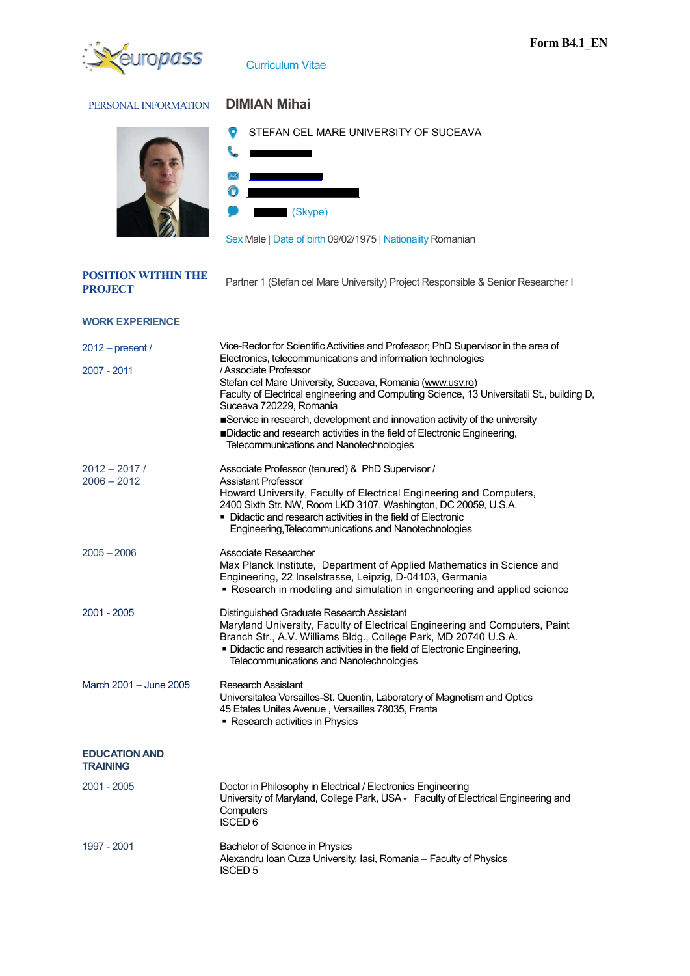

Curriculum Vitae

## PERSONAL INFORMATION **DIMIAN Mihai**

**POSITION WITHIN THE** 



**STEFAN CEL MARE UNIVERSITY OF SUCEAVA** 





Sex Male | Date of birth 09/02/1975 | Nationality Romanian

| гоэнтог уништийг | Partner 1 (Stefan cel Mare University) Project Responsible & Senior Researcher I |
|------------------|----------------------------------------------------------------------------------|
| <b>PROJECT</b>   |                                                                                  |

| <b>WORK EXPERIENCE</b>                  |                                                                                                                                                                                                                                                                                                                                                                                                                                                                                                                                                                        |
|-----------------------------------------|------------------------------------------------------------------------------------------------------------------------------------------------------------------------------------------------------------------------------------------------------------------------------------------------------------------------------------------------------------------------------------------------------------------------------------------------------------------------------------------------------------------------------------------------------------------------|
| $2012$ – present /<br>2007 - 2011       | Vice-Rector for Scientific Activities and Professor; PhD Supervisor in the area of<br>Electronics, telecommunications and information technologies<br>/ Associate Professor<br>Stefan cel Mare University, Suceava, Romania (www.usv.ro)<br>Faculty of Electrical engineering and Computing Science, 13 Universitatii St., building D,<br>Suceava 720229, Romania<br>Service in research, development and innovation activity of the university<br>Didactic and research activities in the field of Electronic Engineering,<br>Telecommunications and Nanotechnologies |
| $2012 - 2017/$<br>$2006 - 2012$         | Associate Professor (tenured) & PhD Supervisor /<br><b>Assistant Professor</b><br>Howard University, Faculty of Electrical Engineering and Computers,<br>2400 Sixth Str. NW, Room LKD 3107, Washington, DC 20059, U.S.A.<br>• Didactic and research activities in the field of Electronic<br>Engineering, Telecommunications and Nanotechnologies                                                                                                                                                                                                                      |
| $2005 - 2006$                           | Associate Researcher<br>Max Planck Institute, Department of Applied Mathematics in Science and<br>Engineering, 22 Inselstrasse, Leipzig, D-04103, Germania<br>. Research in modeling and simulation in engeneering and applied science                                                                                                                                                                                                                                                                                                                                 |
| 2001 - 2005                             | Distinguished Graduate Research Assistant<br>Maryland University, Faculty of Electrical Engineering and Computers, Paint<br>Branch Str., A.V. Williams Bldg., College Park, MD 20740 U.S.A.<br>• Didactic and research activities in the field of Electronic Engineering,<br>Telecommunications and Nanotechnologies                                                                                                                                                                                                                                                   |
| March 2001 - June 2005                  | <b>Research Assistant</b><br>Universitatea Versailles-St. Quentin, Laboratory of Magnetism and Optics<br>45 Etates Unites Avenue, Versailles 78035, Franta<br>• Research activities in Physics                                                                                                                                                                                                                                                                                                                                                                         |
| <b>EDUCATION AND</b><br><b>TRAINING</b> |                                                                                                                                                                                                                                                                                                                                                                                                                                                                                                                                                                        |
| 2001 - 2005                             | Doctor in Philosophy in Electrical / Electronics Engineering<br>University of Maryland, College Park, USA - Faculty of Electrical Engineering and<br>Computers<br><b>ISCED 6</b>                                                                                                                                                                                                                                                                                                                                                                                       |
| 1997 - 2001                             | Bachelor of Science in Physics<br>Alexandru Ioan Cuza University, Iasi, Romania - Faculty of Physics<br><b>ISCED 5</b>                                                                                                                                                                                                                                                                                                                                                                                                                                                 |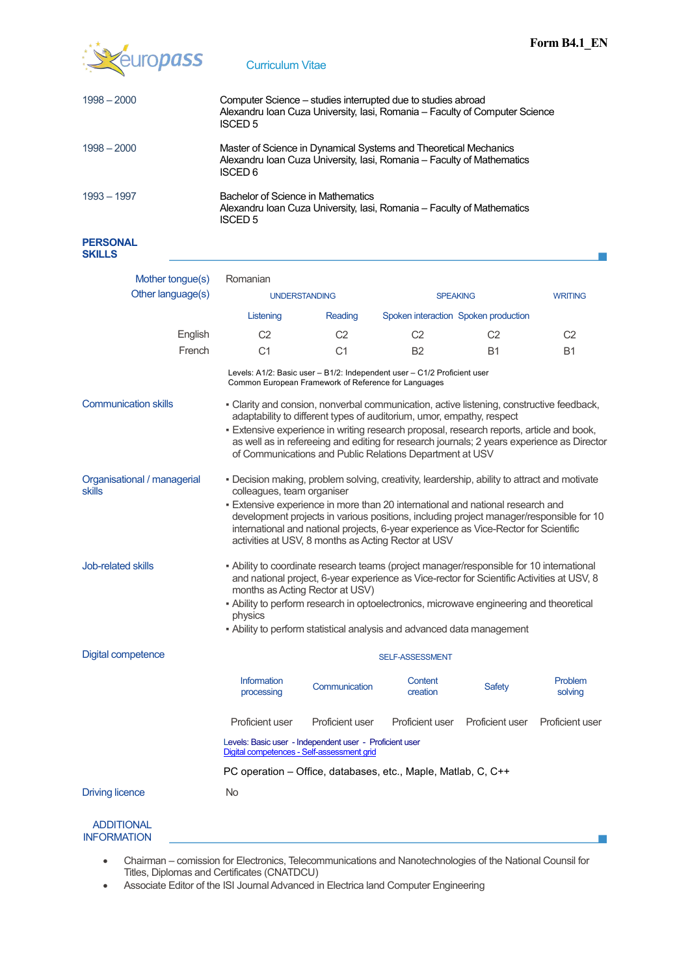

## Curriculum Vitae

| $1998 - 2000$                           | Computer Science – studies interrupted due to studies abroad<br>Alexandru Ioan Cuza University, Iasi, Romania - Faculty of Computer Science<br><b>ISCED 5</b>                                                                                                                                                                                                                                                                                          |                 |                                                                          |                 |                    |  |
|-----------------------------------------|--------------------------------------------------------------------------------------------------------------------------------------------------------------------------------------------------------------------------------------------------------------------------------------------------------------------------------------------------------------------------------------------------------------------------------------------------------|-----------------|--------------------------------------------------------------------------|-----------------|--------------------|--|
| $1998 - 2000$                           | Master of Science in Dynamical Systems and Theoretical Mechanics<br>Alexandru Ioan Cuza University, Iasi, Romania - Faculty of Mathematics<br><b>ISCED 6</b>                                                                                                                                                                                                                                                                                           |                 |                                                                          |                 |                    |  |
| 1993 - 1997                             | Bachelor of Science in Mathematics<br>Alexandru Ioan Cuza University, Iasi, Romania - Faculty of Mathematics<br><b>ISCED 5</b>                                                                                                                                                                                                                                                                                                                         |                 |                                                                          |                 |                    |  |
| <b>PERSONAL</b><br><b>SKILLS</b>        |                                                                                                                                                                                                                                                                                                                                                                                                                                                        |                 |                                                                          |                 |                    |  |
| Mother tongue(s)                        | Romanian                                                                                                                                                                                                                                                                                                                                                                                                                                               |                 |                                                                          |                 |                    |  |
| Other language(s)                       | <b>UNDERSTANDING</b>                                                                                                                                                                                                                                                                                                                                                                                                                                   |                 | <b>SPEAKING</b>                                                          |                 | <b>WRITING</b>     |  |
|                                         | Listening<br>Spoken interaction Spoken production<br>Reading                                                                                                                                                                                                                                                                                                                                                                                           |                 |                                                                          |                 |                    |  |
| English                                 | C <sub>2</sub>                                                                                                                                                                                                                                                                                                                                                                                                                                         | C <sub>2</sub>  | C <sub>2</sub>                                                           | C <sub>2</sub>  | C <sub>2</sub>     |  |
| French                                  | C <sub>1</sub>                                                                                                                                                                                                                                                                                                                                                                                                                                         | C <sub>1</sub>  | <b>B2</b>                                                                | <b>B1</b>       | B1                 |  |
|                                         | Common European Framework of Reference for Languages                                                                                                                                                                                                                                                                                                                                                                                                   |                 | Levels: A1/2: Basic user - B1/2: Independent user - C1/2 Proficient user |                 |                    |  |
| <b>Communication skills</b>             | - Clarity and consion, nonverbal communication, active listening, constructive feedback,<br>adaptability to different types of auditorium, umor, empathy, respect<br>. Extensive experience in writing research proposal, research reports, article and book,<br>as well as in refereeing and editing for research journals; 2 years experience as Director<br>of Communications and Public Relations Department at USV                                |                 |                                                                          |                 |                    |  |
| Organisational / managerial<br>skills   | - Decision making, problem solving, creativity, leardership, ability to attract and motivate<br>colleagues, team organiser<br>- Extensive experience in more than 20 international and national research and<br>development projects in various positions, including project manager/responsible for 10<br>international and national projects, 6-year experience as Vice-Rector for Scientific<br>activities at USV, 8 months as Acting Rector at USV |                 |                                                                          |                 |                    |  |
| Job-related skills                      | - Ability to coordinate research teams (project manager/responsible for 10 international<br>and national project, 6-year experience as Vice-rector for Scientific Activities at USV, 8<br>months as Acting Rector at USV)<br>- Ability to perform research in optoelectronics, microwave engineering and theoretical<br>physics<br>- Ability to perform statistical analysis and advanced data management                                              |                 |                                                                          |                 |                    |  |
| Digital competence                      |                                                                                                                                                                                                                                                                                                                                                                                                                                                        |                 |                                                                          |                 |                    |  |
|                                         | SELF-ASSESSMENT                                                                                                                                                                                                                                                                                                                                                                                                                                        |                 |                                                                          |                 |                    |  |
|                                         | Information<br>processing                                                                                                                                                                                                                                                                                                                                                                                                                              | Communication   | Content<br>creation                                                      | <b>Safety</b>   | Problem<br>solving |  |
|                                         | <b>Proficient user</b>                                                                                                                                                                                                                                                                                                                                                                                                                                 | Proficient user | Proficient user                                                          | Proficient user | Proficient user    |  |
|                                         | Levels: Basic user - Independent user - Proficient user<br>Digital competences - Self-assessment grid                                                                                                                                                                                                                                                                                                                                                  |                 |                                                                          |                 |                    |  |
|                                         | PC operation - Office, databases, etc., Maple, Matlab, C, C++                                                                                                                                                                                                                                                                                                                                                                                          |                 |                                                                          |                 |                    |  |
| <b>Driving licence</b>                  | No                                                                                                                                                                                                                                                                                                                                                                                                                                                     |                 |                                                                          |                 |                    |  |
| <b>ADDITIONAL</b><br><b>INFORMATION</b> |                                                                                                                                                                                                                                                                                                                                                                                                                                                        |                 |                                                                          |                 |                    |  |

- Chairman comission for Electronics, Telecommunications and Nanotechnologies of the National Counsil for Titles, Diplomas and Certificates (CNATDCU)
	- Associate Editor of the ISI Journal Advanced in Electrica land Computer Engineering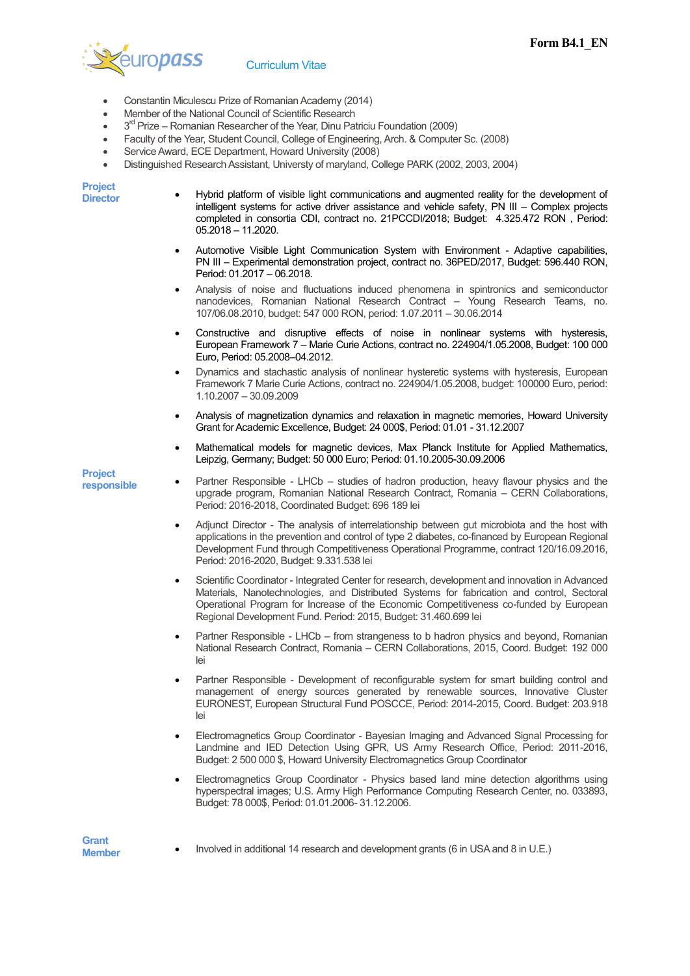

## Curriculum Vitae

- Constantin Miculescu Prize of Romanian Academy (2014)
- Member of the National Council of Scientific Research
- $\bullet$  3<sup>rd</sup> Prize Romanian Researcher of the Year, Dinu Patriciu Foundation (2009)
- Faculty of the Year, Student Council, College of Engineering, Arch. & Computer Sc. (2008)
- Service Award, ECE Department, Howard University (2008)
- Distinguished Research Assistant, Universty of maryland, College PARK (2002, 2003, 2004)

**Project** 

- Hybrid platform of visible light communications and augmented reality for the development of intelligent systems for active driver assistance and vehicle safety, PN III – Complex projects completed in consortia CDI, contract no. 21PCCDI/2018; Budget: 4.325.472 RON , Period: 05.2018 – 11.2020.
- Automotive Visible Light Communication System with Environment Adaptive capabilities, PN III – Experimental demonstration project, contract no. 36PED/2017, Budget: 596.440 RON, Period: 01.2017 – 06.2018.
- Analysis of noise and fluctuations induced phenomena in spintronics and semiconductor nanodevices, Romanian National Research Contract – Young Research Teams, no. 107/06.08.2010, budget: 547 000 RON, period: 1.07.2011 – 30.06.2014
- Constructive and disruptive effects of noise in nonlinear systems with hysteresis, European Framework 7 – Marie Curie Actions, contract no. 224904/1.05.2008, Budget: 100 000 Euro, Period: 05.2008–04.2012.
- Dynamics and stachastic analysis of nonlinear hysteretic systems with hysteresis, European Framework 7 Marie Curie Actions, contract no. 224904/1.05.2008, budget: 100000 Euro, period: 1.10.2007 – 30.09.2009
- Analysis of magnetization dynamics and relaxation in magnetic memories, Howard University Grant for Academic Excellence, Budget: 24 000\$, Period: 01.01 - 31.12.2007
- Mathematical models for magnetic devices, Max Planck Institute for Applied Mathematics, Leipzig, Germany; Budget: 50 000 Euro; Period: 01.10.2005-30.09.2006

**Project** 

- **responsible** Partner Responsible LHCb studies of hadron production, heavy flavour physics and the upgrade program, Romanian National Research Contract, Romania – CERN Collaborations, Period: 2016-2018, Coordinated Budget: 696 189 lei
	- Adjunct Director The analysis of interrelationship between gut microbiota and the host with applications in the prevention and control of type 2 diabetes, co-financed by European Regional Development Fund through Competitiveness Operational Programme, contract 120/16.09.2016, Period: 2016-2020, Budget: 9.331.538 lei
	- Scientific Coordinator Integrated Center for research, development and innovation in Advanced Materials, Nanotechnologies, and Distributed Systems for fabrication and control, Sectoral Operational Program for Increase of the Economic Competitiveness co-funded by European Regional Development Fund. Period: 2015, Budget: 31.460.699 lei
	- Partner Responsible LHCb from strangeness to b hadron physics and beyond, Romanian National Research Contract, Romania – CERN Collaborations, 2015, Coord. Budget: 192 000 lei
	- Partner Responsible Development of reconfigurable system for smart building control and management of energy sources generated by renewable sources, Innovative Cluster EURONEST, European Structural Fund POSCCE, Period: 2014-2015, Coord. Budget: 203.918 lei
	- Electromagnetics Group Coordinator Bayesian Imaging and Advanced Signal Processing for Landmine and IED Detection Using GPR, US Army Research Office, Period: 2011-2016, Budget: 2 500 000 \$, Howard University Electromagnetics Group Coordinator
	- Electromagnetics Group Coordinator Physics based land mine detection algorithms using hyperspectral images; U.S. Army High Performance Computing Research Center, no. 033893, Budget: 78 000\$, Period: 01.01.2006- 31.12.2006.

**Member** • Involved in additional 14 research and development grants (6 in USA and 8 in U.E.)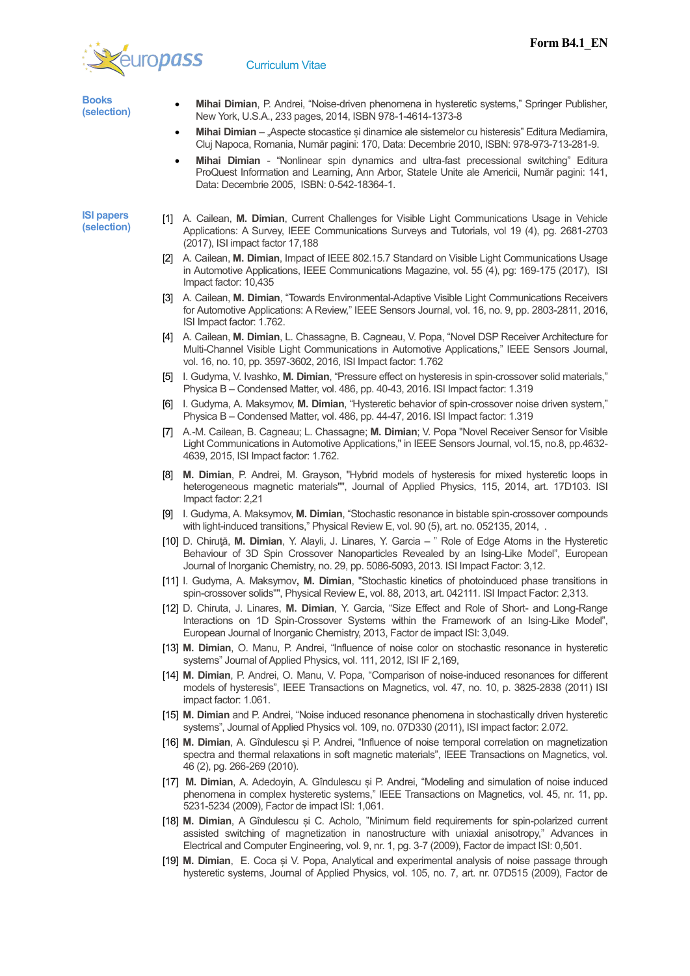

| <b>Books</b><br>(selection)      |                   | Mihai Dimian, P. Andrei, "Noise-driven phenomena in hysteretic systems," Springer Publisher,<br>New York, U.S.A., 233 pages, 2014, ISBN 978-1-4614-1373-8                                                                                                                                            |
|----------------------------------|-------------------|------------------------------------------------------------------------------------------------------------------------------------------------------------------------------------------------------------------------------------------------------------------------------------------------------|
|                                  | ٠                 | Mihai Dimian - "Aspecte stocastice și dinamice ale sistemelor cu histeresis" Editura Mediamira,<br>Cluj Napoca, Romania, Număr pagini: 170, Data: Decembrie 2010, ISBN: 978-973-713-281-9.                                                                                                           |
|                                  | ٠                 | Mihai Dimian - "Nonlinear spin dynamics and ultra-fast precessional switching" Editura<br>ProQuest Information and Learning, Ann Arbor, Statele Unite ale Americii, Număr pagini: 141,<br>Data: Decembrie 2005, ISBN: 0-542-18364-1.                                                                 |
| <b>ISI papers</b><br>(selection) | $\lceil 1 \rceil$ | A. Cailean, M. Dimian, Current Challenges for Visible Light Communications Usage in Vehicle<br>Applications: A Survey, IEEE Communications Surveys and Tutorials, vol 19 (4), pg. 2681-2703<br>(2017), ISI impact factor 17,188                                                                      |
|                                  | [2]               | A. Cailean, M. Dimian, Impact of IEEE 802.15.7 Standard on Visible Light Communications Usage<br>in Automotive Applications, IEEE Communications Magazine, vol. 55 (4), pg: 169-175 (2017), ISI<br>Impact factor: 10,435                                                                             |
|                                  | 131.              | A. Cailean, M. Dimian, "Towards Environmental-Adaptive Visible Light Communications Receivers<br>for Automotive Applications: A Review," IEEE Sensors Journal, vol. 16, no. 9, pp. 2803-2811, 2016,<br>ISI Impact factor: 1.762.                                                                     |
|                                  | 14 I              | A. Cailean, M. Dimian, L. Chassagne, B. Cagneau, V. Popa, "Novel DSP Receiver Architecture for<br>Multi-Channel Visible Light Communications in Automotive Applications," IEEE Sensors Journal,<br>vol. 16, no. 10, pp. 3597-3602, 2016, ISI Impact factor: 1.762                                    |
|                                  | $\sqrt{5}$        | I. Gudyma, V. Ivashko, M. Dimian, "Pressure effect on hysteresis in spin-crossover solid materials,"<br>Physica B – Condensed Matter, vol. 486, pp. 40-43, 2016. ISI Impact factor: 1.319                                                                                                            |
|                                  | [6]               | I. Gudyma, A. Maksymov, M. Dimian, "Hysteretic behavior of spin-crossover noise driven system,"<br>Physica B – Condensed Matter, vol. 486, pp. 44-47, 2016. ISI Impact factor: 1.319                                                                                                                 |
|                                  | 171               | A.-M. Cailean, B. Cagneau; L. Chassagne; M. Dimian; V. Popa "Novel Receiver Sensor for Visible<br>Light Communications in Automotive Applications," in IEEE Sensors Journal, vol.15, no.8, pp.4632-<br>4639, 2015, ISI Impact factor: 1.762.                                                         |
|                                  | [8]               | M. Dimian, P. Andrei, M. Grayson, "Hybrid models of hysteresis for mixed hysteretic loops in<br>heterogeneous magnetic materials"", Journal of Applied Physics, 115, 2014, art. 17D103. ISI<br>Impact factor: 2,21                                                                                   |
|                                  |                   | [9] I. Gudyma, A. Maksymov, M. Dimian, "Stochastic resonance in bistable spin-crossover compounds<br>with light-induced transitions," Physical Review E, vol. 90 (5), art. no. 052135, 2014, .                                                                                                       |
|                                  |                   | [10] D. Chirută, M. Dimian, Y. Alayli, J. Linares, Y. Garcia - " Role of Edge Atoms in the Hysteretic<br>Behaviour of 3D Spin Crossover Nanoparticles Revealed by an Ising-Like Model", European<br>Journal of Inorganic Chemistry, no. 29, pp. 5086-5093, 2013. ISI Impact Factor: 3,12.            |
|                                  |                   | [11] I. Gudyma, A. Maksymov, M. Dimian, "Stochastic kinetics of photoinduced phase transitions in<br>spin-crossover solids"", Physical Review E, vol. 88, 2013, art. 042111. ISI Impact Factor: 2,313.                                                                                               |
|                                  |                   | [12] D. Chiruta, J. Linares, M. Dimian, Y. Garcia, "Size Effect and Role of Short- and Long-Range<br>Interactions on 1D Spin-Crossover Systems within the Framework of an Ising-Like Model",<br>European Journal of Inorganic Chemistry, 2013, Factor de impact ISI: 3,049.                          |
|                                  |                   | [13] M. Dimian, O. Manu, P. Andrei, "Influence of noise color on stochastic resonance in hysteretic<br>systems" Journal of Applied Physics, vol. 111, 2012, ISI IF 2,169,                                                                                                                            |
|                                  |                   | [14] M. Dimian, P. Andrei, O. Manu, V. Popa, "Comparison of noise-induced resonances for different<br>models of hysteresis", IEEE Transactions on Magnetics, vol. 47, no. 10, p. 3825-2838 (2011) ISI<br>impact factor: 1.061.                                                                       |
|                                  |                   | [15] M. Dimian and P. Andrei, "Noise induced resonance phenomena in stochastically driven hysteretic<br>systems", Journal of Applied Physics vol. 109, no. 07D330 (2011), ISI impact factor: 2.072.                                                                                                  |
|                                  |                   | [16] M. Dimian, A. Gîndulescu și P. Andrei, "Influence of noise temporal correlation on magnetization<br>spectra and thermal relaxations in soft magnetic materials", IEEE Transactions on Magnetics, vol.<br>46 (2), pg. 266-269 (2010).                                                            |
|                                  |                   | [17] M. Dimian, A. Adedoyin, A. Gîndulescu și P. Andrei, "Modeling and simulation of noise induced<br>phenomena in complex hysteretic systems," IEEE Transactions on Magnetics, vol. 45, nr. 11, pp.<br>5231-5234 (2009), Factor de impact ISI: 1,061.                                               |
|                                  |                   | [18] M. Dimian, A Gîndulescu și C. Acholo, "Minimum field requirements for spin-polarized current<br>assisted switching of magnetization in nanostructure with uniaxial anisotropy," Advances in<br>Electrical and Computer Engineering, vol. 9, nr. 1, pg. 3-7 (2009), Factor de impact ISI: 0,501. |
|                                  |                   | [19] M. Dimian, E. Coca și V. Popa, Analytical and experimental analysis of noise passage through<br>hysteretic systems, Journal of Applied Physics, vol. 105, no. 7, art. nr. 07D515 (2009), Factor de                                                                                              |
|                                  |                   |                                                                                                                                                                                                                                                                                                      |